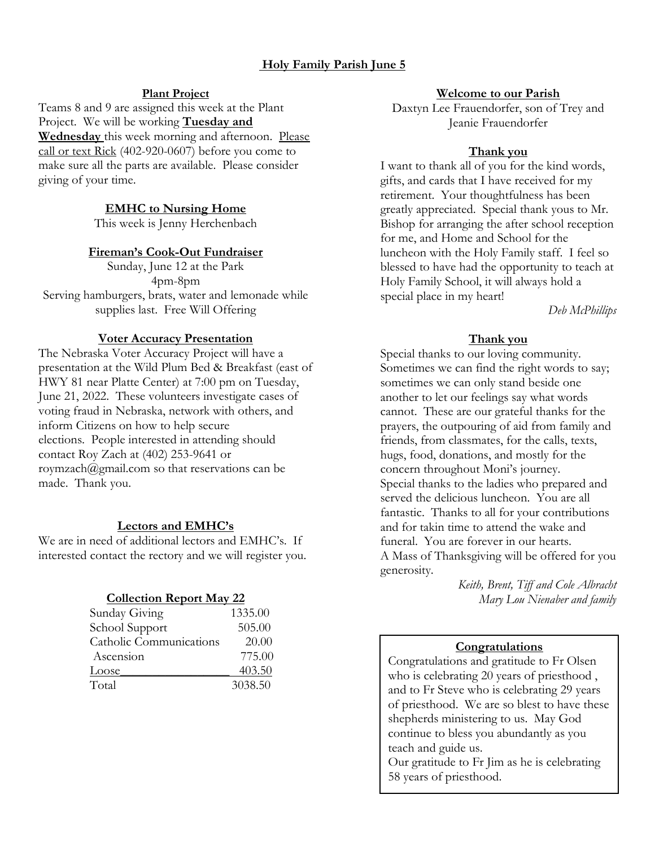# **Holy Family Parish June 5**

## **Plant Project**

Teams 8 and 9 are assigned this week at the Plant Project. We will be working **Tuesday and Wednesday** this week morning and afternoon. Please call or text Rick (402-920-0607) before you come to make sure all the parts are available. Please consider giving of your time.

## **EMHC to Nursing Home**

This week is Jenny Herchenbach

#### **Fireman's Cook-Out Fundraiser**

Sunday, June 12 at the Park 4pm-8pm Serving hamburgers, brats, water and lemonade while supplies last. Free Will Offering

#### **Voter Accuracy Presentation**

The Nebraska Voter Accuracy Project will have a presentation at the Wild Plum Bed & Breakfast (east of HWY 81 near Platte Center) at 7:00 pm on Tuesday, June 21, 2022. These volunteers investigate cases of voting fraud in Nebraska, network with others, and inform Citizens on how to help secure elections. People interested in attending should contact Roy Zach at (402) 253-9641 or [roymzach@gmail.com](mailto:roymzach@gmail.com) so that reservations can be made. Thank you.

## **Lectors and EMHC's**

We are in need of additional lectors and EMHC's. If interested contact the rectory and we will register you.

## **Collection Report May 22**

| Sunday Giving           | 1335.00 |
|-------------------------|---------|
| School Support          | 505.00  |
| Catholic Communications | 20.00   |
| Ascension               | 775.00  |
| Loose                   | 403.50  |
| Total                   | 3038.50 |

#### **Welcome to our Parish**

Daxtyn Lee Frauendorfer, son of Trey and Jeanie Frauendorfer

#### **Thank you**

I want to thank all of you for the kind words, gifts, and cards that I have received for my retirement. Your thoughtfulness has been greatly appreciated. Special thank yous to Mr. Bishop for arranging the after school reception for me, and Home and School for the luncheon with the Holy Family staff. I feel so blessed to have had the opportunity to teach at Holy Family School, it will always hold a special place in my heart!

*Deb McPhillips*

## **Thank you**

Special thanks to our loving community. Sometimes we can find the right words to say; sometimes we can only stand beside one another to let our feelings say what words cannot. These are our grateful thanks for the prayers, the outpouring of aid from family and friends, from classmates, for the calls, texts, hugs, food, donations, and mostly for the concern throughout Moni's journey. Special thanks to the ladies who prepared and served the delicious luncheon. You are all fantastic. Thanks to all for your contributions and for takin time to attend the wake and funeral. You are forever in our hearts. A Mass of Thanksgiving will be offered for you generosity.

> *Keith, Brent, Tiff and Cole Albracht Mary Lou Nienaber and family*

## **Congratulations**

Congratulations and gratitude to Fr Olsen who is celebrating 20 years of priesthood, and to Fr Steve who is celebrating 29 years of priesthood. We are so blest to have these shepherds ministering to us. May God continue to bless you abundantly as you teach and guide us. Our gratitude to Fr Jim as he is celebrating

58 years of priesthood.